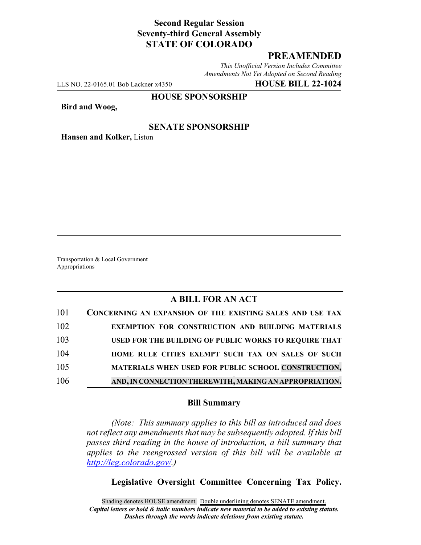## **Second Regular Session Seventy-third General Assembly STATE OF COLORADO**

# **PREAMENDED**

*This Unofficial Version Includes Committee Amendments Not Yet Adopted on Second Reading*

LLS NO. 22-0165.01 Bob Lackner x4350 **HOUSE BILL 22-1024**

#### **HOUSE SPONSORSHIP**

**Bird and Woog,**

### **SENATE SPONSORSHIP**

**Hansen and Kolker,** Liston

Transportation & Local Government Appropriations

## **A BILL FOR AN ACT**

| 101 | CONCERNING AN EXPANSION OF THE EXISTING SALES AND USE TAX |
|-----|-----------------------------------------------------------|
| 102 | EXEMPTION FOR CONSTRUCTION AND BUILDING MATERIALS         |
| 103 | USED FOR THE BUILDING OF PUBLIC WORKS TO REQUIRE THAT     |
| 104 | HOME RULE CITIES EXEMPT SUCH TAX ON SALES OF SUCH         |
| 105 | MATERIALS WHEN USED FOR PUBLIC SCHOOL CONSTRUCTION,       |
| 106 | AND, IN CONNECTION THEREWITH, MAKING AN APPROPRIATION.    |

### **Bill Summary**

*(Note: This summary applies to this bill as introduced and does not reflect any amendments that may be subsequently adopted. If this bill passes third reading in the house of introduction, a bill summary that applies to the reengrossed version of this bill will be available at http://leg.colorado.gov/.)*

### **Legislative Oversight Committee Concerning Tax Policy.**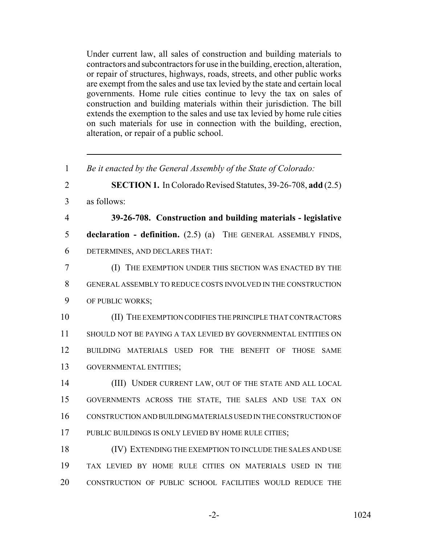Under current law, all sales of construction and building materials to contractors and subcontractors for use in the building, erection, alteration, or repair of structures, highways, roads, streets, and other public works are exempt from the sales and use tax levied by the state and certain local governments. Home rule cities continue to levy the tax on sales of construction and building materials within their jurisdiction. The bill extends the exemption to the sales and use tax levied by home rule cities on such materials for use in connection with the building, erection, alteration, or repair of a public school.

 *Be it enacted by the General Assembly of the State of Colorado:* **SECTION 1.** In Colorado Revised Statutes, 39-26-708, **add** (2.5) as follows: **39-26-708. Construction and building materials - legislative declaration - definition.** (2.5) (a) THE GENERAL ASSEMBLY FINDS, DETERMINES, AND DECLARES THAT: (I) THE EXEMPTION UNDER THIS SECTION WAS ENACTED BY THE GENERAL ASSEMBLY TO REDUCE COSTS INVOLVED IN THE CONSTRUCTION OF PUBLIC WORKS; (II) THE EXEMPTION CODIFIES THE PRINCIPLE THAT CONTRACTORS SHOULD NOT BE PAYING A TAX LEVIED BY GOVERNMENTAL ENTITIES ON BUILDING MATERIALS USED FOR THE BENEFIT OF THOSE SAME GOVERNMENTAL ENTITIES; (III) UNDER CURRENT LAW, OUT OF THE STATE AND ALL LOCAL GOVERNMENTS ACROSS THE STATE, THE SALES AND USE TAX ON CONSTRUCTION AND BUILDING MATERIALS USED IN THE CONSTRUCTION OF 17 PUBLIC BUILDINGS IS ONLY LEVIED BY HOME RULE CITIES; (IV) EXTENDING THE EXEMPTION TO INCLUDE THE SALES AND USE TAX LEVIED BY HOME RULE CITIES ON MATERIALS USED IN THE CONSTRUCTION OF PUBLIC SCHOOL FACILITIES WOULD REDUCE THE

-2- 1024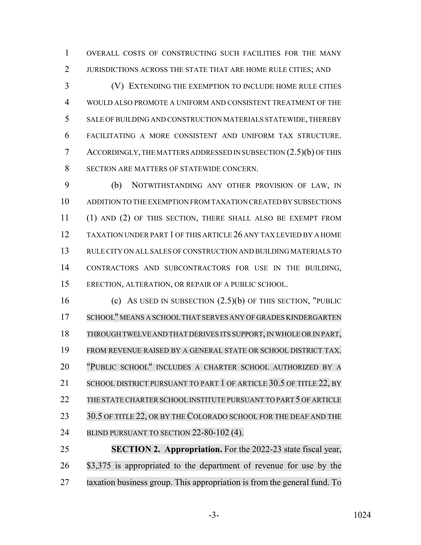OVERALL COSTS OF CONSTRUCTING SUCH FACILITIES FOR THE MANY JURISDICTIONS ACROSS THE STATE THAT ARE HOME RULE CITIES; AND

 (V) EXTENDING THE EXEMPTION TO INCLUDE HOME RULE CITIES WOULD ALSO PROMOTE A UNIFORM AND CONSISTENT TREATMENT OF THE SALE OF BUILDING AND CONSTRUCTION MATERIALS STATEWIDE, THEREBY FACILITATING A MORE CONSISTENT AND UNIFORM TAX STRUCTURE. ACCORDINGLY, THE MATTERS ADDRESSED IN SUBSECTION (2.5)(b) OF THIS 8 SECTION ARE MATTERS OF STATEWIDE CONCERN.

 (b) NOTWITHSTANDING ANY OTHER PROVISION OF LAW, IN ADDITION TO THE EXEMPTION FROM TAXATION CREATED BY SUBSECTIONS (1) AND (2) OF THIS SECTION, THERE SHALL ALSO BE EXEMPT FROM TAXATION UNDER PART 1 OF THIS ARTICLE 26 ANY TAX LEVIED BY A HOME RULE CITY ON ALL SALES OF CONSTRUCTION AND BUILDING MATERIALS TO CONTRACTORS AND SUBCONTRACTORS FOR USE IN THE BUILDING, ERECTION, ALTERATION, OR REPAIR OF A PUBLIC SCHOOL.

 (c) AS USED IN SUBSECTION (2.5)(b) OF THIS SECTION, "PUBLIC 17 SCHOOL" MEANS A SCHOOL THAT SERVES ANY OF GRADES KINDERGARTEN 18 THROUGH TWELVE AND THAT DERIVES ITS SUPPORT, IN WHOLE OR IN PART, FROM REVENUE RAISED BY A GENERAL STATE OR SCHOOL DISTRICT TAX. "PUBLIC SCHOOL" INCLUDES A CHARTER SCHOOL AUTHORIZED BY A 21 SCHOOL DISTRICT PURSUANT TO PART 1 OF ARTICLE 30.5 OF TITLE 22, BY 22 THE STATE CHARTER SCHOOL INSTITUTE PURSUANT TO PART 5 OF ARTICLE 23 30.5 OF TITLE 22, OR BY THE COLORADO SCHOOL FOR THE DEAF AND THE 24 BLIND PURSUANT TO SECTION 22-80-102 (4).

 **SECTION 2. Appropriation.** For the 2022-23 state fiscal year, 26 \$3,375 is appropriated to the department of revenue for use by the taxation business group. This appropriation is from the general fund. To